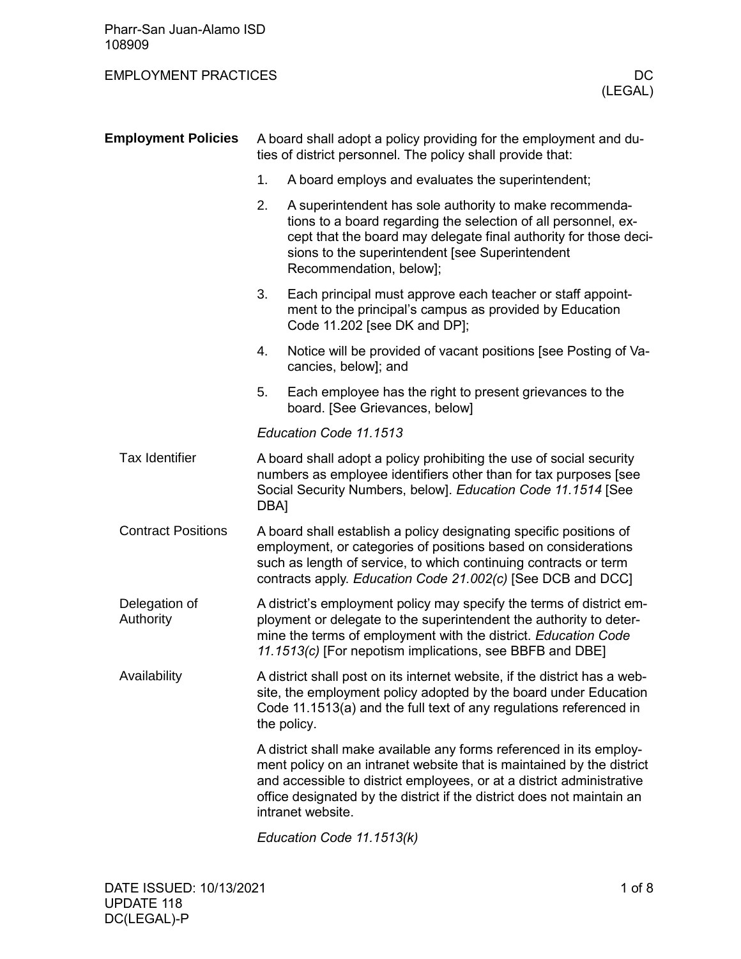## EMPLOYMENT PRACTICES DC

| <b>Employment Policies</b> |                                                                                                                                                                                                                                                                          | A board shall adopt a policy providing for the employment and du-<br>ties of district personnel. The policy shall provide that:                                                                                                                                                                                      |  |  |  |  |  |
|----------------------------|--------------------------------------------------------------------------------------------------------------------------------------------------------------------------------------------------------------------------------------------------------------------------|----------------------------------------------------------------------------------------------------------------------------------------------------------------------------------------------------------------------------------------------------------------------------------------------------------------------|--|--|--|--|--|
|                            | 1.                                                                                                                                                                                                                                                                       | A board employs and evaluates the superintendent;                                                                                                                                                                                                                                                                    |  |  |  |  |  |
|                            | 2.                                                                                                                                                                                                                                                                       | A superintendent has sole authority to make recommenda-<br>tions to a board regarding the selection of all personnel, ex-<br>cept that the board may delegate final authority for those deci-<br>sions to the superintendent [see Superintendent<br>Recommendation, below];                                          |  |  |  |  |  |
|                            | 3.                                                                                                                                                                                                                                                                       | Each principal must approve each teacher or staff appoint-<br>ment to the principal's campus as provided by Education<br>Code 11.202 [see DK and DP];                                                                                                                                                                |  |  |  |  |  |
|                            | 4.                                                                                                                                                                                                                                                                       | Notice will be provided of vacant positions [see Posting of Va-<br>cancies, below]; and                                                                                                                                                                                                                              |  |  |  |  |  |
|                            | 5.                                                                                                                                                                                                                                                                       | Each employee has the right to present grievances to the<br>board. [See Grievances, below]                                                                                                                                                                                                                           |  |  |  |  |  |
|                            |                                                                                                                                                                                                                                                                          | Education Code 11.1513                                                                                                                                                                                                                                                                                               |  |  |  |  |  |
| <b>Tax Identifier</b>      | A board shall adopt a policy prohibiting the use of social security<br>numbers as employee identifiers other than for tax purposes [see<br>Social Security Numbers, below]. Education Code 11.1514 [See<br>DBA]                                                          |                                                                                                                                                                                                                                                                                                                      |  |  |  |  |  |
| <b>Contract Positions</b>  |                                                                                                                                                                                                                                                                          | A board shall establish a policy designating specific positions of<br>employment, or categories of positions based on considerations<br>such as length of service, to which continuing contracts or term<br>contracts apply. Education Code 21.002(c) [See DCB and DCC]                                              |  |  |  |  |  |
| Delegation of<br>Authority | A district's employment policy may specify the terms of district em-<br>ployment or delegate to the superintendent the authority to deter-<br>mine the terms of employment with the district. Education Code<br>11.1513(c) [For nepotism implications, see BBFB and DBE] |                                                                                                                                                                                                                                                                                                                      |  |  |  |  |  |
| Availability               |                                                                                                                                                                                                                                                                          | A district shall post on its internet website, if the district has a web-<br>site, the employment policy adopted by the board under Education<br>Code 11.1513(a) and the full text of any regulations referenced in<br>the policy.                                                                                   |  |  |  |  |  |
|                            |                                                                                                                                                                                                                                                                          | A district shall make available any forms referenced in its employ-<br>ment policy on an intranet website that is maintained by the district<br>and accessible to district employees, or at a district administrative<br>office designated by the district if the district does not maintain an<br>intranet website. |  |  |  |  |  |
|                            |                                                                                                                                                                                                                                                                          | Education Code 11.1513(k)                                                                                                                                                                                                                                                                                            |  |  |  |  |  |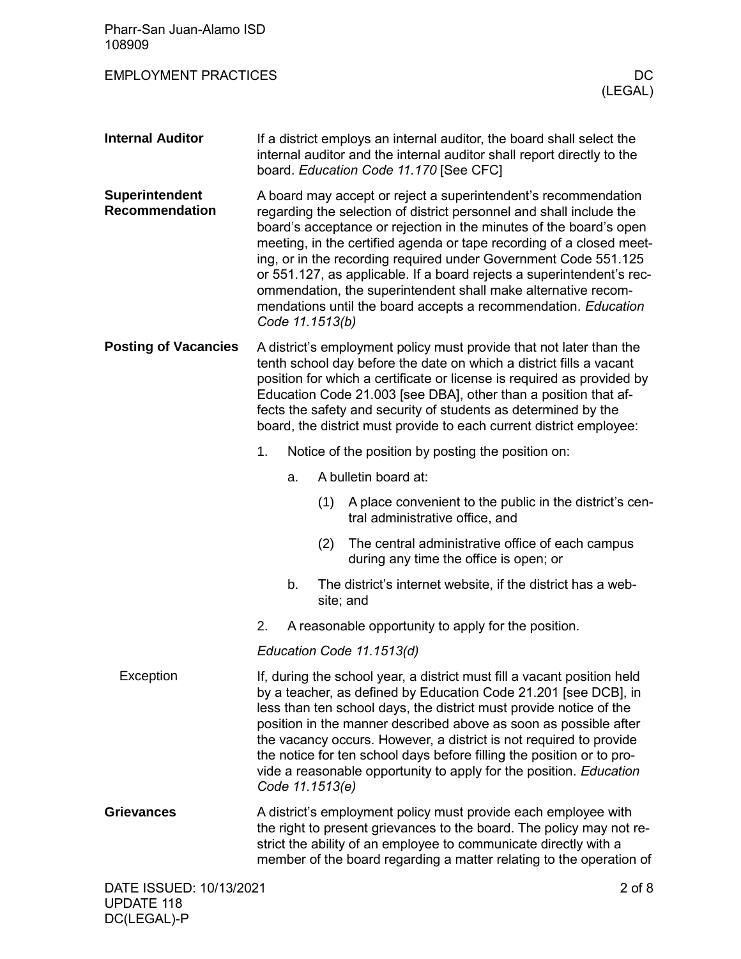| Pharr-San Juan-Alamo ISD<br>108909      |                                                                                                                                                                                                                                                                                                                                                                                                                                                                                                                                                                                       |    |     |                                                                                            |
|-----------------------------------------|---------------------------------------------------------------------------------------------------------------------------------------------------------------------------------------------------------------------------------------------------------------------------------------------------------------------------------------------------------------------------------------------------------------------------------------------------------------------------------------------------------------------------------------------------------------------------------------|----|-----|--------------------------------------------------------------------------------------------|
| <b>EMPLOYMENT PRACTICES</b>             |                                                                                                                                                                                                                                                                                                                                                                                                                                                                                                                                                                                       |    |     | DC.<br>(LEGAL)                                                                             |
| <b>Internal Auditor</b>                 | If a district employs an internal auditor, the board shall select the<br>internal auditor and the internal auditor shall report directly to the<br>board. Education Code 11.170 [See CFC]                                                                                                                                                                                                                                                                                                                                                                                             |    |     |                                                                                            |
| Superintendent<br><b>Recommendation</b> | A board may accept or reject a superintendent's recommendation<br>regarding the selection of district personnel and shall include the<br>board's acceptance or rejection in the minutes of the board's open<br>meeting, in the certified agenda or tape recording of a closed meet-<br>ing, or in the recording required under Government Code 551.125<br>or 551.127, as applicable. If a board rejects a superintendent's rec-<br>ommendation, the superintendent shall make alternative recom-<br>mendations until the board accepts a recommendation. Education<br>Code 11.1513(b) |    |     |                                                                                            |
| <b>Posting of Vacancies</b>             | A district's employment policy must provide that not later than the<br>tenth school day before the date on which a district fills a vacant<br>position for which a certificate or license is required as provided by<br>Education Code 21.003 [see DBA], other than a position that af-<br>fects the safety and security of students as determined by the<br>board, the district must provide to each current district employee:                                                                                                                                                      |    |     |                                                                                            |
|                                         | 1.                                                                                                                                                                                                                                                                                                                                                                                                                                                                                                                                                                                    |    |     | Notice of the position by posting the position on:                                         |
|                                         |                                                                                                                                                                                                                                                                                                                                                                                                                                                                                                                                                                                       | a. |     | A bulletin board at:                                                                       |
|                                         |                                                                                                                                                                                                                                                                                                                                                                                                                                                                                                                                                                                       |    | (1) | A place convenient to the public in the district's cen-<br>tral administrative office, and |
|                                         |                                                                                                                                                                                                                                                                                                                                                                                                                                                                                                                                                                                       |    | (2) | The central administrative office of each campus<br>during any time the office is open; or |
|                                         |                                                                                                                                                                                                                                                                                                                                                                                                                                                                                                                                                                                       | b. |     | The district's internet website, if the district has a web-<br>site; and                   |
|                                         | 2.                                                                                                                                                                                                                                                                                                                                                                                                                                                                                                                                                                                    |    |     | A reasonable opportunity to apply for the position.                                        |
|                                         |                                                                                                                                                                                                                                                                                                                                                                                                                                                                                                                                                                                       |    |     | Education Code 11.1513(d)                                                                  |
| Exception                               | If, during the school year, a district must fill a vacant position held<br>by a teacher, as defined by Education Code 21.201 [see DCB], in<br>less than ten school days, the district must provide notice of the<br>position in the manner described above as soon as possible after<br>the vacancy occurs. However, a district is not required to provide<br>the notice for ten school days before filling the position or to pro-<br>vide a reasonable opportunity to apply for the position. Education<br>Code 11.1513(e)                                                          |    |     |                                                                                            |
| <b>Grievances</b>                       | A district's employment policy must provide each employee with<br>the right to present grievances to the board. The policy may not re-<br>strict the ability of an employee to communicate directly with a<br>member of the board regarding a matter relating to the operation of                                                                                                                                                                                                                                                                                                     |    |     |                                                                                            |
| DATE ISSUED: 10/13/2021                 |                                                                                                                                                                                                                                                                                                                                                                                                                                                                                                                                                                                       |    |     | $2$ of $8$                                                                                 |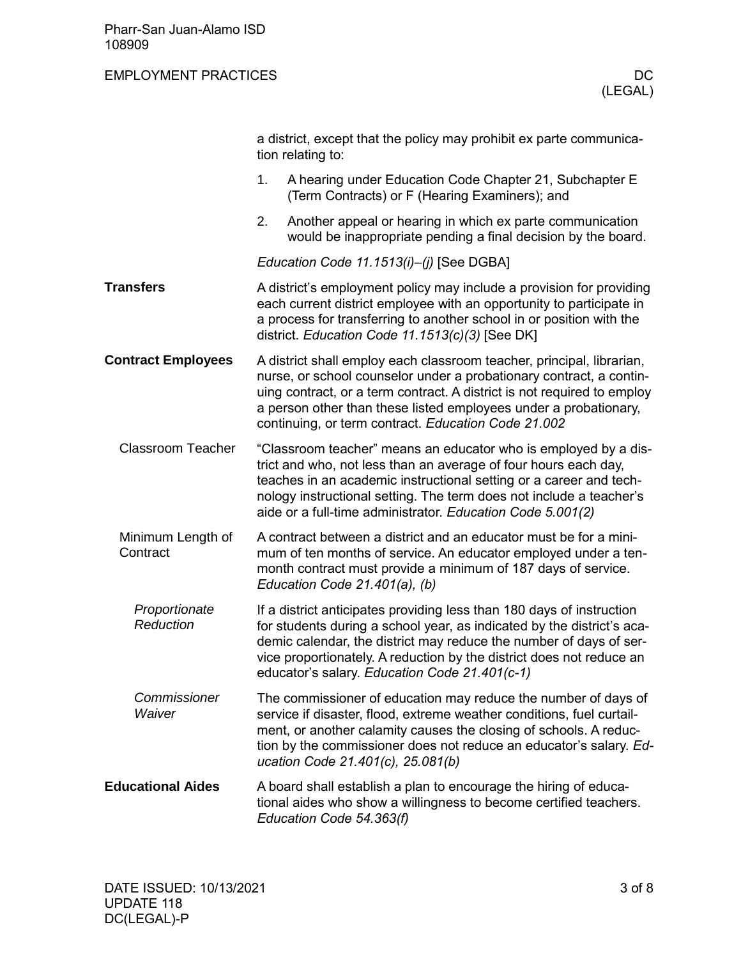## EMPLOYMENT PRACTICES DC

|                               | a district, except that the policy may prohibit ex parte communica-<br>tion relating to:                                                                                                                                                                                                                                                           |  |  |  |
|-------------------------------|----------------------------------------------------------------------------------------------------------------------------------------------------------------------------------------------------------------------------------------------------------------------------------------------------------------------------------------------------|--|--|--|
|                               | 1.<br>A hearing under Education Code Chapter 21, Subchapter E<br>(Term Contracts) or F (Hearing Examiners); and                                                                                                                                                                                                                                    |  |  |  |
|                               | 2.<br>Another appeal or hearing in which ex parte communication<br>would be inappropriate pending a final decision by the board.                                                                                                                                                                                                                   |  |  |  |
|                               | Education Code 11.1513(i)-(j) [See DGBA]                                                                                                                                                                                                                                                                                                           |  |  |  |
| <b>Transfers</b>              | A district's employment policy may include a provision for providing<br>each current district employee with an opportunity to participate in<br>a process for transferring to another school in or position with the<br>district. Education Code 11.1513(c)(3) [See DK]                                                                            |  |  |  |
| <b>Contract Employees</b>     | A district shall employ each classroom teacher, principal, librarian,<br>nurse, or school counselor under a probationary contract, a contin-<br>uing contract, or a term contract. A district is not required to employ<br>a person other than these listed employees under a probationary,<br>continuing, or term contract. Education Code 21.002 |  |  |  |
| <b>Classroom Teacher</b>      | "Classroom teacher" means an educator who is employed by a dis-<br>trict and who, not less than an average of four hours each day,<br>teaches in an academic instructional setting or a career and tech-<br>nology instructional setting. The term does not include a teacher's<br>aide or a full-time administrator. Education Code 5.001(2)      |  |  |  |
| Minimum Length of<br>Contract | A contract between a district and an educator must be for a mini-<br>mum of ten months of service. An educator employed under a ten-<br>month contract must provide a minimum of 187 days of service.<br>Education Code 21.401(a), (b)                                                                                                             |  |  |  |
| Proportionate<br>Reduction    | If a district anticipates providing less than 180 days of instruction<br>for students during a school year, as indicated by the district's aca-<br>demic calendar, the district may reduce the number of days of ser-<br>vice proportionately. A reduction by the district does not reduce an<br>educator's salary. Education Code 21.401(c-1)     |  |  |  |
| Commissioner<br>Waiver        | The commissioner of education may reduce the number of days of<br>service if disaster, flood, extreme weather conditions, fuel curtail-<br>ment, or another calamity causes the closing of schools. A reduc-<br>tion by the commissioner does not reduce an educator's salary. Ed-<br>ucation Code 21.401(c), 25.081(b)                            |  |  |  |
| <b>Educational Aides</b>      | A board shall establish a plan to encourage the hiring of educa-<br>tional aides who show a willingness to become certified teachers.<br>Education Code 54.363(f)                                                                                                                                                                                  |  |  |  |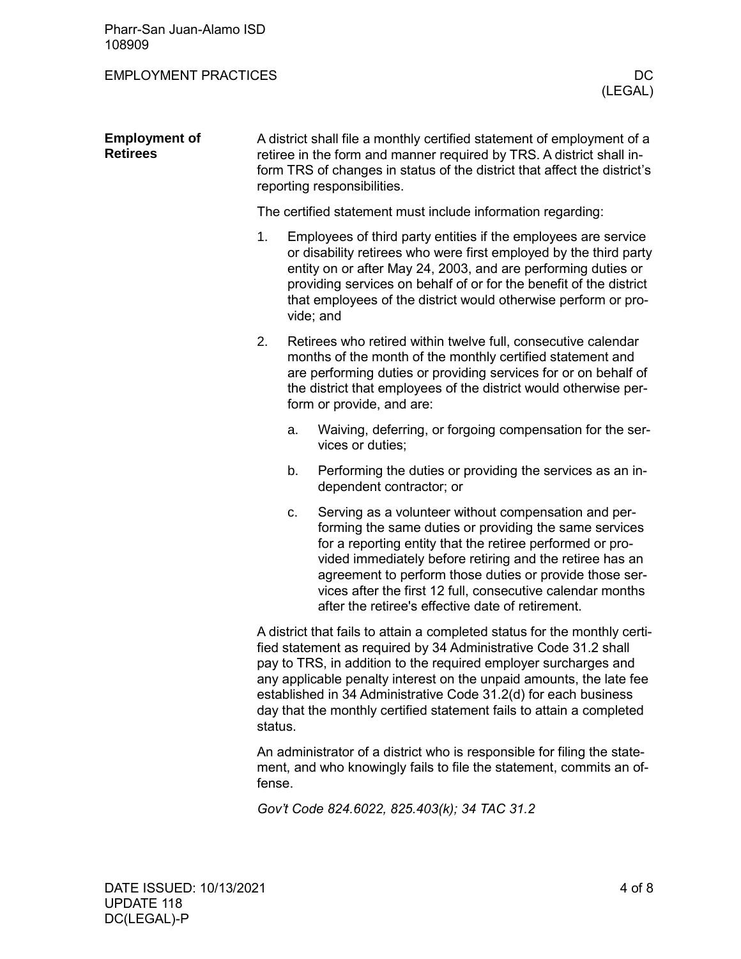Pharr-San Juan-Alamo ISD 108909

## EMPLOYMENT PRACTICES DC

| <b>Employment of</b><br><b>Retirees</b> | A district shall file a monthly certified statement of employment of a<br>retiree in the form and manner required by TRS. A district shall in-<br>form TRS of changes in status of the district that affect the district's<br>reporting responsibilities.                                                                                                                                                                                    |                                                             |                                                                                                                                                                                                                                                                                                                                                                                                                       |  |  |
|-----------------------------------------|----------------------------------------------------------------------------------------------------------------------------------------------------------------------------------------------------------------------------------------------------------------------------------------------------------------------------------------------------------------------------------------------------------------------------------------------|-------------------------------------------------------------|-----------------------------------------------------------------------------------------------------------------------------------------------------------------------------------------------------------------------------------------------------------------------------------------------------------------------------------------------------------------------------------------------------------------------|--|--|
|                                         |                                                                                                                                                                                                                                                                                                                                                                                                                                              | The certified statement must include information regarding: |                                                                                                                                                                                                                                                                                                                                                                                                                       |  |  |
|                                         | 1.                                                                                                                                                                                                                                                                                                                                                                                                                                           |                                                             | Employees of third party entities if the employees are service<br>or disability retirees who were first employed by the third party<br>entity on or after May 24, 2003, and are performing duties or<br>providing services on behalf of or for the benefit of the district<br>that employees of the district would otherwise perform or pro-<br>vide; and                                                             |  |  |
|                                         | 2.                                                                                                                                                                                                                                                                                                                                                                                                                                           |                                                             | Retirees who retired within twelve full, consecutive calendar<br>months of the month of the monthly certified statement and<br>are performing duties or providing services for or on behalf of<br>the district that employees of the district would otherwise per-<br>form or provide, and are:                                                                                                                       |  |  |
|                                         |                                                                                                                                                                                                                                                                                                                                                                                                                                              | a.                                                          | Waiving, deferring, or forgoing compensation for the ser-<br>vices or duties;                                                                                                                                                                                                                                                                                                                                         |  |  |
|                                         |                                                                                                                                                                                                                                                                                                                                                                                                                                              | b.                                                          | Performing the duties or providing the services as an in-<br>dependent contractor; or                                                                                                                                                                                                                                                                                                                                 |  |  |
|                                         |                                                                                                                                                                                                                                                                                                                                                                                                                                              | c.                                                          | Serving as a volunteer without compensation and per-<br>forming the same duties or providing the same services<br>for a reporting entity that the retiree performed or pro-<br>vided immediately before retiring and the retiree has an<br>agreement to perform those duties or provide those ser-<br>vices after the first 12 full, consecutive calendar months<br>after the retiree's effective date of retirement. |  |  |
|                                         | A district that fails to attain a completed status for the monthly certi-<br>fied statement as required by 34 Administrative Code 31.2 shall<br>pay to TRS, in addition to the required employer surcharges and<br>any applicable penalty interest on the unpaid amounts, the late fee<br>established in 34 Administrative Code 31.2(d) for each business<br>day that the monthly certified statement fails to attain a completed<br>status. |                                                             |                                                                                                                                                                                                                                                                                                                                                                                                                       |  |  |
|                                         | An administrator of a district who is responsible for filing the state-<br>ment, and who knowingly fails to file the statement, commits an of-<br>fense.                                                                                                                                                                                                                                                                                     |                                                             |                                                                                                                                                                                                                                                                                                                                                                                                                       |  |  |

*Gov't Code 824.6022, 825.403(k); 34 TAC 31.2*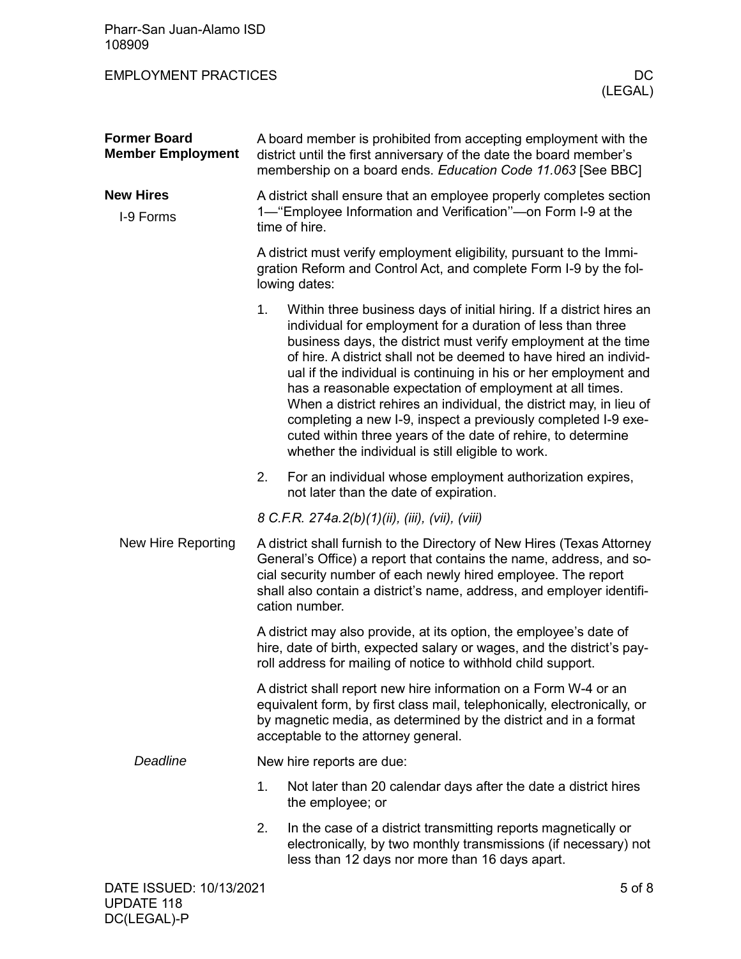| Pharr-San Juan-Alamo ISD<br>108909              |                                                                                                                                                                                                                                                                                                           |                                                                                                                                                                                                                                                                                                                                                                                                                                                                                                                                                                                                                                                                         |    |  |  |
|-------------------------------------------------|-----------------------------------------------------------------------------------------------------------------------------------------------------------------------------------------------------------------------------------------------------------------------------------------------------------|-------------------------------------------------------------------------------------------------------------------------------------------------------------------------------------------------------------------------------------------------------------------------------------------------------------------------------------------------------------------------------------------------------------------------------------------------------------------------------------------------------------------------------------------------------------------------------------------------------------------------------------------------------------------------|----|--|--|
| <b>EMPLOYMENT PRACTICES</b>                     |                                                                                                                                                                                                                                                                                                           | (LEGAL)                                                                                                                                                                                                                                                                                                                                                                                                                                                                                                                                                                                                                                                                 | DC |  |  |
| <b>Former Board</b><br><b>Member Employment</b> | A board member is prohibited from accepting employment with the<br>district until the first anniversary of the date the board member's<br>membership on a board ends. Education Code 11.063 [See BBC]                                                                                                     |                                                                                                                                                                                                                                                                                                                                                                                                                                                                                                                                                                                                                                                                         |    |  |  |
| <b>New Hires</b><br>I-9 Forms                   | A district shall ensure that an employee properly completes section<br>1— "Employee Information and Verification"—on Form I-9 at the<br>time of hire.                                                                                                                                                     |                                                                                                                                                                                                                                                                                                                                                                                                                                                                                                                                                                                                                                                                         |    |  |  |
|                                                 | A district must verify employment eligibility, pursuant to the Immi-<br>gration Reform and Control Act, and complete Form I-9 by the fol-<br>lowing dates:                                                                                                                                                |                                                                                                                                                                                                                                                                                                                                                                                                                                                                                                                                                                                                                                                                         |    |  |  |
|                                                 | 1.                                                                                                                                                                                                                                                                                                        | Within three business days of initial hiring. If a district hires an<br>individual for employment for a duration of less than three<br>business days, the district must verify employment at the time<br>of hire. A district shall not be deemed to have hired an individ-<br>ual if the individual is continuing in his or her employment and<br>has a reasonable expectation of employment at all times.<br>When a district rehires an individual, the district may, in lieu of<br>completing a new I-9, inspect a previously completed I-9 exe-<br>cuted within three years of the date of rehire, to determine<br>whether the individual is still eligible to work. |    |  |  |
|                                                 | 2.                                                                                                                                                                                                                                                                                                        | For an individual whose employment authorization expires,<br>not later than the date of expiration.                                                                                                                                                                                                                                                                                                                                                                                                                                                                                                                                                                     |    |  |  |
|                                                 |                                                                                                                                                                                                                                                                                                           | 8 C.F.R. 274a.2(b)(1)(ii), (iii), (vii), (viii)                                                                                                                                                                                                                                                                                                                                                                                                                                                                                                                                                                                                                         |    |  |  |
| New Hire Reporting                              | A district shall furnish to the Directory of New Hires (Texas Attorney<br>General's Office) a report that contains the name, address, and so-<br>cial security number of each newly hired employee. The report<br>shall also contain a district's name, address, and employer identifi-<br>cation number. |                                                                                                                                                                                                                                                                                                                                                                                                                                                                                                                                                                                                                                                                         |    |  |  |
|                                                 | A district may also provide, at its option, the employee's date of<br>hire, date of birth, expected salary or wages, and the district's pay-<br>roll address for mailing of notice to withhold child support.                                                                                             |                                                                                                                                                                                                                                                                                                                                                                                                                                                                                                                                                                                                                                                                         |    |  |  |
|                                                 | A district shall report new hire information on a Form W-4 or an<br>equivalent form, by first class mail, telephonically, electronically, or<br>by magnetic media, as determined by the district and in a format<br>acceptable to the attorney general.                                                   |                                                                                                                                                                                                                                                                                                                                                                                                                                                                                                                                                                                                                                                                         |    |  |  |
| <b>Deadline</b>                                 |                                                                                                                                                                                                                                                                                                           | New hire reports are due:                                                                                                                                                                                                                                                                                                                                                                                                                                                                                                                                                                                                                                               |    |  |  |
|                                                 | 1.                                                                                                                                                                                                                                                                                                        | Not later than 20 calendar days after the date a district hires<br>the employee; or                                                                                                                                                                                                                                                                                                                                                                                                                                                                                                                                                                                     |    |  |  |
|                                                 | 2.                                                                                                                                                                                                                                                                                                        | In the case of a district transmitting reports magnetically or<br>electronically, by two monthly transmissions (if necessary) not<br>less than 12 days nor more than 16 days apart.                                                                                                                                                                                                                                                                                                                                                                                                                                                                                     |    |  |  |
| DATE ISSUED: 10/13/2021                         |                                                                                                                                                                                                                                                                                                           | 5 of 8                                                                                                                                                                                                                                                                                                                                                                                                                                                                                                                                                                                                                                                                  |    |  |  |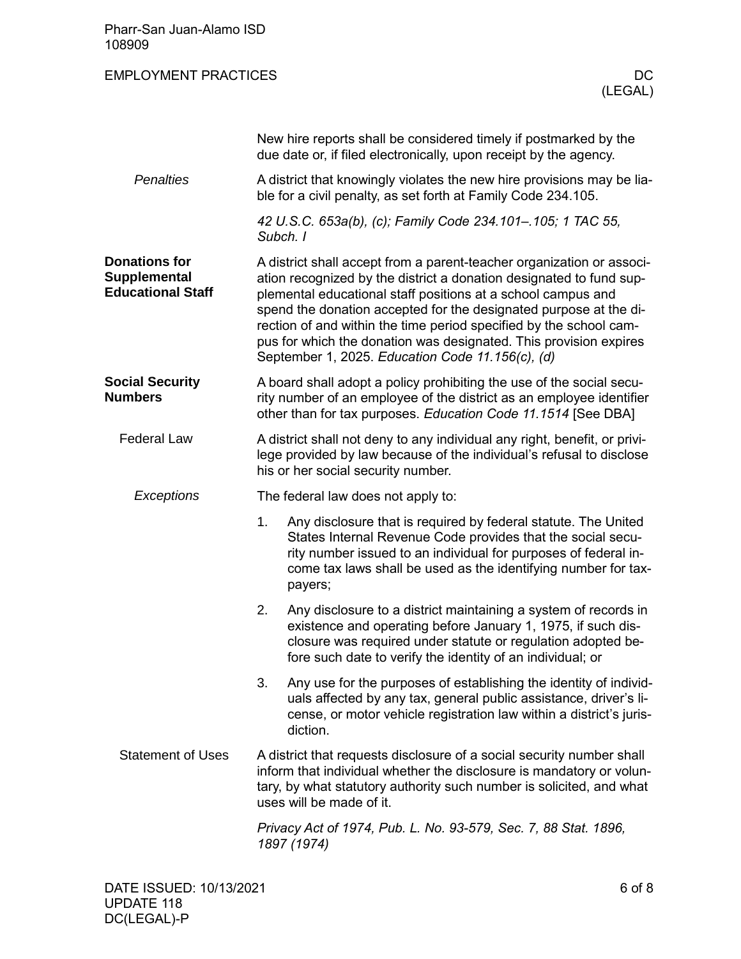| Pharr-San Juan-Alamo ISD<br>108909                                      |                                                                                                                                                                                                                                                                                                                                                                                                                                                                                  |                                                                                                                                                                                                                                                                               |  |
|-------------------------------------------------------------------------|----------------------------------------------------------------------------------------------------------------------------------------------------------------------------------------------------------------------------------------------------------------------------------------------------------------------------------------------------------------------------------------------------------------------------------------------------------------------------------|-------------------------------------------------------------------------------------------------------------------------------------------------------------------------------------------------------------------------------------------------------------------------------|--|
| <b>EMPLOYMENT PRACTICES</b>                                             |                                                                                                                                                                                                                                                                                                                                                                                                                                                                                  | <b>DC</b><br>(LEGAL)                                                                                                                                                                                                                                                          |  |
|                                                                         |                                                                                                                                                                                                                                                                                                                                                                                                                                                                                  | New hire reports shall be considered timely if postmarked by the<br>due date or, if filed electronically, upon receipt by the agency.                                                                                                                                         |  |
| <b>Penalties</b>                                                        |                                                                                                                                                                                                                                                                                                                                                                                                                                                                                  | A district that knowingly violates the new hire provisions may be lia-<br>ble for a civil penalty, as set forth at Family Code 234.105.                                                                                                                                       |  |
|                                                                         | Subch. I                                                                                                                                                                                                                                                                                                                                                                                                                                                                         | 42 U.S.C. 653a(b), (c); Family Code 234.101-.105; 1 TAC 55,                                                                                                                                                                                                                   |  |
| <b>Donations for</b><br><b>Supplemental</b><br><b>Educational Staff</b> | A district shall accept from a parent-teacher organization or associ-<br>ation recognized by the district a donation designated to fund sup-<br>plemental educational staff positions at a school campus and<br>spend the donation accepted for the designated purpose at the di-<br>rection of and within the time period specified by the school cam-<br>pus for which the donation was designated. This provision expires<br>September 1, 2025. Education Code 11.156(c), (d) |                                                                                                                                                                                                                                                                               |  |
| <b>Social Security</b><br><b>Numbers</b>                                | A board shall adopt a policy prohibiting the use of the social secu-<br>rity number of an employee of the district as an employee identifier<br>other than for tax purposes. Education Code 11.1514 [See DBA]                                                                                                                                                                                                                                                                    |                                                                                                                                                                                                                                                                               |  |
| <b>Federal Law</b>                                                      | A district shall not deny to any individual any right, benefit, or privi-<br>lege provided by law because of the individual's refusal to disclose<br>his or her social security number.                                                                                                                                                                                                                                                                                          |                                                                                                                                                                                                                                                                               |  |
| Exceptions                                                              | The federal law does not apply to:                                                                                                                                                                                                                                                                                                                                                                                                                                               |                                                                                                                                                                                                                                                                               |  |
|                                                                         | 1.                                                                                                                                                                                                                                                                                                                                                                                                                                                                               | Any disclosure that is required by federal statute. The United<br>States Internal Revenue Code provides that the social secu-<br>rity number issued to an individual for purposes of federal in-<br>come tax laws shall be used as the identifying number for tax-<br>payers; |  |
|                                                                         | 2.                                                                                                                                                                                                                                                                                                                                                                                                                                                                               | Any disclosure to a district maintaining a system of records in<br>existence and operating before January 1, 1975, if such dis-<br>closure was required under statute or regulation adopted be-<br>fore such date to verify the identity of an individual; or                 |  |
|                                                                         | 3.                                                                                                                                                                                                                                                                                                                                                                                                                                                                               | Any use for the purposes of establishing the identity of individ-<br>uals affected by any tax, general public assistance, driver's li-<br>cense, or motor vehicle registration law within a district's juris-<br>diction.                                                     |  |
| <b>Statement of Uses</b>                                                |                                                                                                                                                                                                                                                                                                                                                                                                                                                                                  | A district that requests disclosure of a social security number shall<br>inform that individual whether the disclosure is mandatory or volun-<br>tary, by what statutory authority such number is solicited, and what<br>uses will be made of it.                             |  |
|                                                                         |                                                                                                                                                                                                                                                                                                                                                                                                                                                                                  | Privacy Act of 1974, Pub. L. No. 93-579, Sec. 7, 88 Stat. 1896,<br>1897 (1974)                                                                                                                                                                                                |  |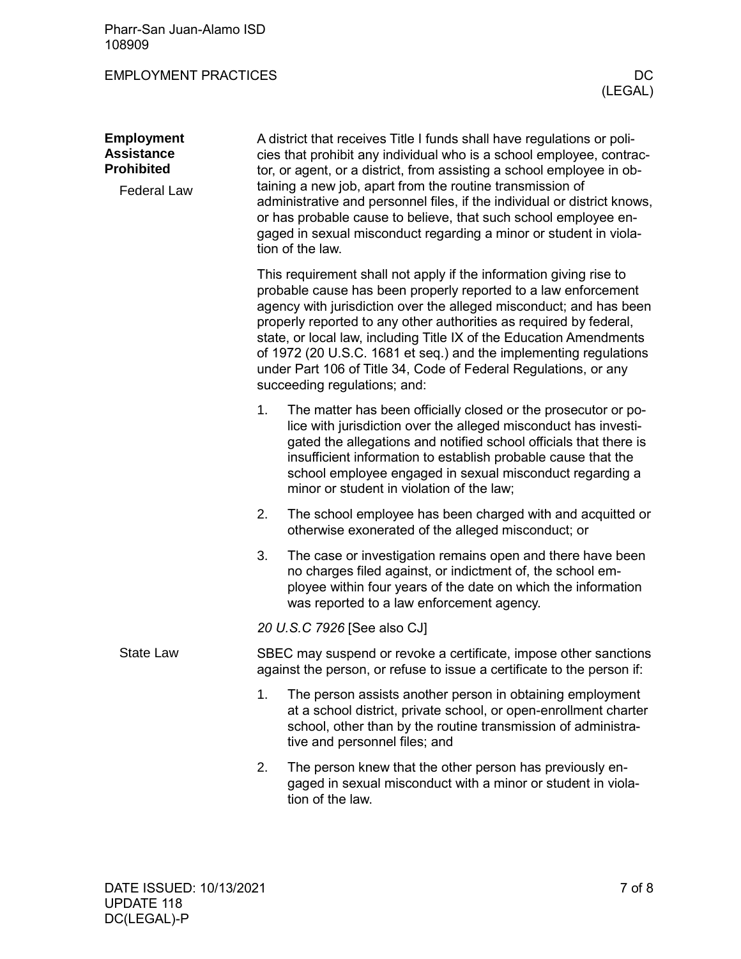Pharr-San Juan-Alamo ISD 108909

EMPLOYMENT PRACTICES DC

| <b>Employment</b><br><b>Assistance</b><br><b>Prohibited</b><br><b>Federal Law</b> | A district that receives Title I funds shall have regulations or poli-<br>cies that prohibit any individual who is a school employee, contrac-<br>tor, or agent, or a district, from assisting a school employee in ob-<br>taining a new job, apart from the routine transmission of<br>administrative and personnel files, if the individual or district knows,<br>or has probable cause to believe, that such school employee en-<br>gaged in sexual misconduct regarding a minor or student in viola-<br>tion of the law. |                                                                                                                                                                                                                                                                                                                                                                                                                                                                                                                                 |  |  |  |
|-----------------------------------------------------------------------------------|------------------------------------------------------------------------------------------------------------------------------------------------------------------------------------------------------------------------------------------------------------------------------------------------------------------------------------------------------------------------------------------------------------------------------------------------------------------------------------------------------------------------------|---------------------------------------------------------------------------------------------------------------------------------------------------------------------------------------------------------------------------------------------------------------------------------------------------------------------------------------------------------------------------------------------------------------------------------------------------------------------------------------------------------------------------------|--|--|--|
|                                                                                   |                                                                                                                                                                                                                                                                                                                                                                                                                                                                                                                              | This requirement shall not apply if the information giving rise to<br>probable cause has been properly reported to a law enforcement<br>agency with jurisdiction over the alleged misconduct; and has been<br>properly reported to any other authorities as required by federal,<br>state, or local law, including Title IX of the Education Amendments<br>of 1972 (20 U.S.C. 1681 et seq.) and the implementing regulations<br>under Part 106 of Title 34, Code of Federal Regulations, or any<br>succeeding regulations; and: |  |  |  |
|                                                                                   | 1.                                                                                                                                                                                                                                                                                                                                                                                                                                                                                                                           | The matter has been officially closed or the prosecutor or po-<br>lice with jurisdiction over the alleged misconduct has investi-<br>gated the allegations and notified school officials that there is<br>insufficient information to establish probable cause that the<br>school employee engaged in sexual misconduct regarding a<br>minor or student in violation of the law;                                                                                                                                                |  |  |  |
|                                                                                   | 2.                                                                                                                                                                                                                                                                                                                                                                                                                                                                                                                           | The school employee has been charged with and acquitted or<br>otherwise exonerated of the alleged misconduct; or                                                                                                                                                                                                                                                                                                                                                                                                                |  |  |  |
|                                                                                   | 3.                                                                                                                                                                                                                                                                                                                                                                                                                                                                                                                           | The case or investigation remains open and there have been<br>no charges filed against, or indictment of, the school em-<br>ployee within four years of the date on which the information<br>was reported to a law enforcement agency.                                                                                                                                                                                                                                                                                          |  |  |  |
|                                                                                   | 20 U.S.C 7926 [See also CJ]                                                                                                                                                                                                                                                                                                                                                                                                                                                                                                  |                                                                                                                                                                                                                                                                                                                                                                                                                                                                                                                                 |  |  |  |
| <b>State Law</b>                                                                  | SBEC may suspend or revoke a certificate, impose other sanctions<br>against the person, or refuse to issue a certificate to the person if:                                                                                                                                                                                                                                                                                                                                                                                   |                                                                                                                                                                                                                                                                                                                                                                                                                                                                                                                                 |  |  |  |
|                                                                                   | 1.                                                                                                                                                                                                                                                                                                                                                                                                                                                                                                                           | The person assists another person in obtaining employment<br>at a school district, private school, or open-enrollment charter<br>school, other than by the routine transmission of administra-<br>tive and personnel files; and                                                                                                                                                                                                                                                                                                 |  |  |  |
|                                                                                   | 2.                                                                                                                                                                                                                                                                                                                                                                                                                                                                                                                           | The person knew that the other person has previously en-<br>gaged in sexual misconduct with a minor or student in viola-<br>tion of the law.                                                                                                                                                                                                                                                                                                                                                                                    |  |  |  |